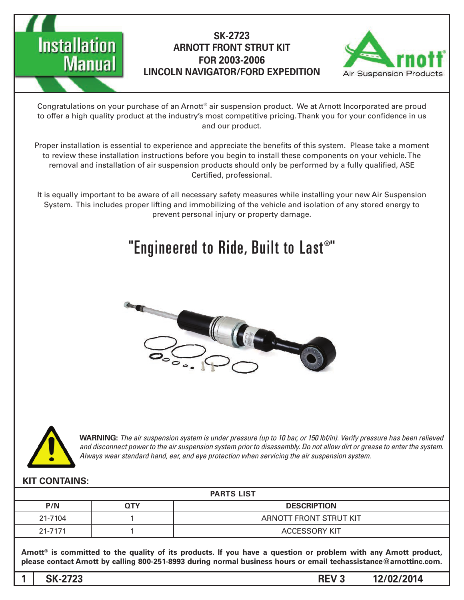



Congratulations on your purchase of an Arnott® air suspension product. We at Arnott Incorporated are proud to offer a high quality product at the industry's most competitive pricing. Thank you for your confidence in us and our product.

Proper installation is essential to experience and appreciate the benefits of this system. Please take a moment to review these installation instructions before you begin to install these components on your vehicle. The removal and installation of air suspension products should only be performed by a fully qualified, ASE Certified, professional.

It is equally important to be aware of all necessary safety measures while installing your new Air Suspension System. This includes proper lifting and immobilizing of the vehicle and isolation of any stored energy to prevent personal injury or property damage.

# "Engineered to Ride, Built to Last®"





*WARNING: The air suspension system is under pressure (up to 10 bar, or 150 lbf/in). Verify pressure has been relieved* and disconnect power to the air suspension system prior to disassembly. Do not allow dirt or grease to enter the system. Always wear standard hand, ear, and eye protection when servicing the air suspension system.

#### **KIT CONTAINS:**

| <b>PARTS LIST</b> |            |                        |
|-------------------|------------|------------------------|
| P/N               | <b>QTY</b> | <b>DESCRIPTION</b>     |
| 21-7104           |            | ARNOTT FRONT STRUT KIT |
| 21-7171           |            | <b>ACCESSORY KIT</b>   |

Arnott<sup>®</sup> is committed to the quality of its products. If you have a question or problem with any Arnott product, please contact Arnott by calling 800-251-8993 during normal business hours or email techassistance@arnottinc.com.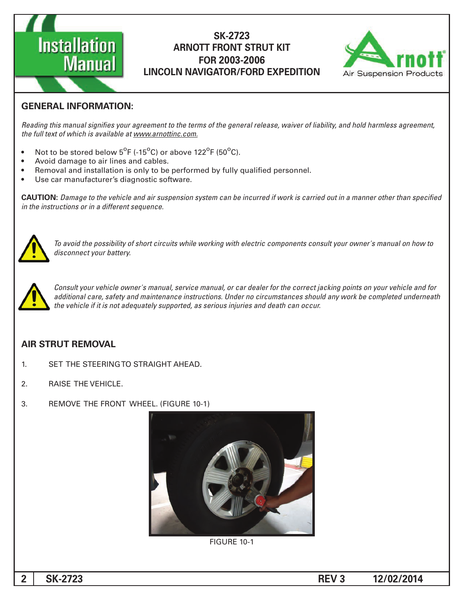



## **GENERAL INFORMATION:**

Reading this manual signifies your agreement to the terms of the general release, waiver of liability, and hold harmless agreement, the full text of which is available at www.arnottinc.com.

- Not to be stored below  $5^{\circ}$ F (-15 $^{\circ}$ C) or above 122 $^{\circ}$ F (50 $^{\circ}$ C).
- Avoid damage to air lines and cables.
- Removal and installation is only to be performed by fully qualified personnel.
- Use car manufacturer's diagnostic software.

**CAUTION:** Damage to the vehicle and air suspension system can be incurred if work is carried out in a manner other than specified *in the instructions or in a different sequence.* 



 *to how on manual s'owner your consult components electric with working while circuits short of possibility the avoid To* disconnect your battery.



Consult your vehicle owner's manual, service manual, or car dealer for the correct jacking points on your vehicle and for additional care, safety and maintenance instructions. Under no circumstances should any work be completed underneath *the vehicle if it is not adequately supported, as serious injuries and death can occur.* 

## **AIR STRUT REMOVAL**

- 1. SET THE STEERING TO STRAIGHT AHEAD.
- 2. RAISE THE VEHICLE.
- 3. REMOVE THE FRONT WHEEL. (FIGURE 10-1)



**FIGURE 10-1**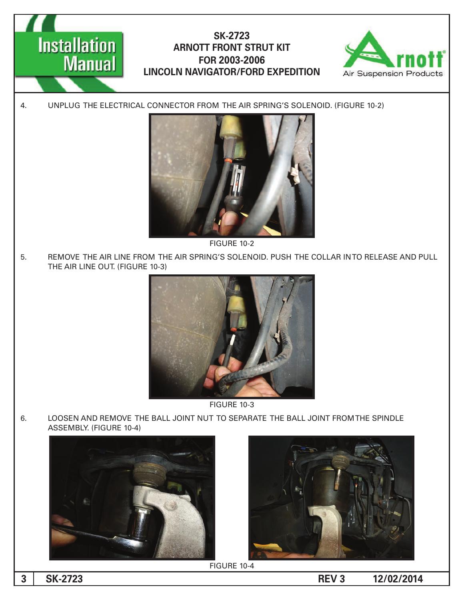



4. UNPLUG THE ELECTRICAL CONNECTOR FROM THE AIR SPRING'S SOLENOID. (FIGURE 10-2)



**FIGURE 10-2** 

5. REMOVE THE AIR LINE FROM THE AIR SPRING'S SOLENOID. PUSH THE COLLAR INTO RELEASE AND PULL THE AIR LINE OUT. (FIGURE 10-3)



**FIGURE 10-3** 

6. LOOSEN AND REMOVE THE BALL JOINT NUT TO SEPARATE THE BALL JOINT FROM THE SPINDLE ASSEMBLY. (FIGURE 10-4)





**FIGURE 10-4** 

**12/02/2014 -2723**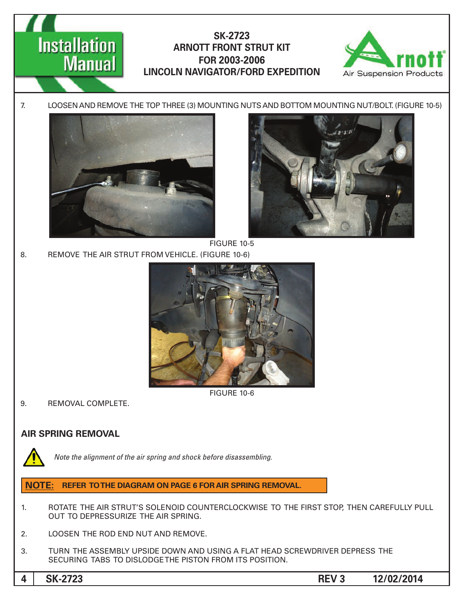





FIGURE 10-5

8. REMOVE THE AIR STRUT FROM VEHICLE. (FIGURE 10-6)



**FIGURE 10-6** 

9. REMOVAL COMPLETE.

# **AIR SPRING REMOVAL**



Note the alignment of the air spring and shock before disassembling.

# **NOTE: REFER TO THE DIAGRAM ON PAGE 6 FOR AIR SPRING REMOVAL.**

- 1. ROTATE THE AIR STRUT'S SOLENOID COUNTERCLOCKWISE TO THE FIRST STOP, THEN CAREFULLY PULL OUT TO DEPRESSURIZE THE AIR SPRING.
- 2. LOOSEN THE ROD END NUT AND REMOVE.
- 3. TURN THE ASSEMBLY UPSIDE DOWN AND USING A FLAT HEAD SCREWDRIVER DEPRESS THE SECURING TABS TO DISLODGE THE PISTON FROM ITS POSITION.

**12/02/2014 3 REV -2723SK 4**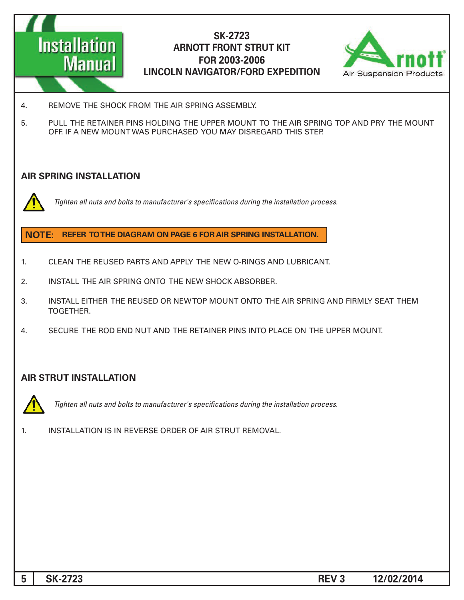



- 4. REMOVE THE SHOCK FROM THE AIR SPRING ASSEMBLY.
- 5. PULL THE RETAINER PINS HOLDING THE UPPER MOUNT TO THE AIR SPRING TOP AND PRY THE MOUNT OFF. IF A NEW MOUNT WAS PURCHASED YOU MAY DISREGARD THIS STEP.

#### **AIR SPRING INSTALLATION**



*Tighten all nuts and bolts to manufacturer's specifications during the installation process.* 

#### **NOTE: REFER TO THE DIAGRAM ON PAGE 6 FOR AIR SPRING INSTALLATION.**

- 1. CLEAN THE REUSED PARTS AND APPLY THE NEW O-RINGS AND LUBRICANT.
- 2. INSTALL THE AIR SPRING ONTO THE NEW SHOCK ABSORBER.
- 3. INSTALL EITHER THE REUSED OR NEW TOP MOUNT ONTO THE AIR SPRING AND FIRMLY SEAT THEM .TOGETHER
- 4. SECURE THE ROD END NUT AND THE RETAINER PINS INTO PLACE ON THE UPPER MOUNT.

## **AIR STRUT INSTALLATION**



Tighten all nuts and bolts to manufacturer's specifications during the installation process.

1. INSTALLATION IS IN REVERSE ORDER OF AIR STRUT REMOVAL.

**12/02/2014 5** SK-2723